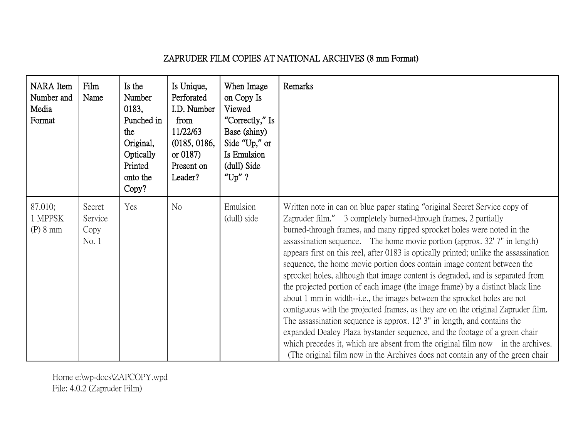## ZAPRUDER FILM COPIES AT NATIONAL ARCHIVES (8 mm Format)

| NARA Item<br>Number and<br>Media<br>Format | Film<br>Name                       | Is the<br>Number<br>0183,<br>Punched in<br>the<br>Original,<br>Optically<br>Printed<br>onto the<br>Copy? | Is Unique,<br>Perforated<br>I.D. Number<br>from<br>11/22/63<br>(0185, 0186,<br>or $0187$ )<br>Present on<br>Leader? | When Image<br>on Copy Is<br>Viewed<br>"Correctly," Is<br>Base (shiny)<br>Side "Up," or<br>Is Emulsion<br>(dull) Side<br>" $Up"$ ? | Remarks                                                                                                                                                                                                                                                                                                                                                                                                                                                                                                                                                                                                                                                                                                                                                                                                                                                                                                                                                                                                                                                                                                                                      |
|--------------------------------------------|------------------------------------|----------------------------------------------------------------------------------------------------------|---------------------------------------------------------------------------------------------------------------------|-----------------------------------------------------------------------------------------------------------------------------------|----------------------------------------------------------------------------------------------------------------------------------------------------------------------------------------------------------------------------------------------------------------------------------------------------------------------------------------------------------------------------------------------------------------------------------------------------------------------------------------------------------------------------------------------------------------------------------------------------------------------------------------------------------------------------------------------------------------------------------------------------------------------------------------------------------------------------------------------------------------------------------------------------------------------------------------------------------------------------------------------------------------------------------------------------------------------------------------------------------------------------------------------|
| 87.010;<br>1 MPPSK<br>(P) 8 mm             | Secret<br>Service<br>Copy<br>No. 1 | Yes                                                                                                      | N <sub>o</sub>                                                                                                      | Emulsion<br>(dull) side                                                                                                           | Written note in can on blue paper stating "original Secret Service copy of<br>Zapruder film." 3 completely burned-through frames, 2 partially<br>burned-through frames, and many ripped sprocket holes were noted in the<br>assassination sequence. The home movie portion (approx. 32' 7" in length)<br>appears first on this reel, after 0183 is optically printed; unlike the assassination<br>sequence, the home movie portion does contain image content between the<br>sprocket holes, although that image content is degraded, and is separated from<br>the projected portion of each image (the image frame) by a distinct black line<br>about 1 mm in width--i.e., the images between the sprocket holes are not<br>contiguous with the projected frames, as they are on the original Zapruder film.<br>The assassination sequence is approx. 12' 3" in length, and contains the<br>expanded Dealey Plaza bystander sequence, and the footage of a green chair<br>which precedes it, which are absent from the original film now in the archives.<br>(The original film now in the Archives does not contain any of the green chair |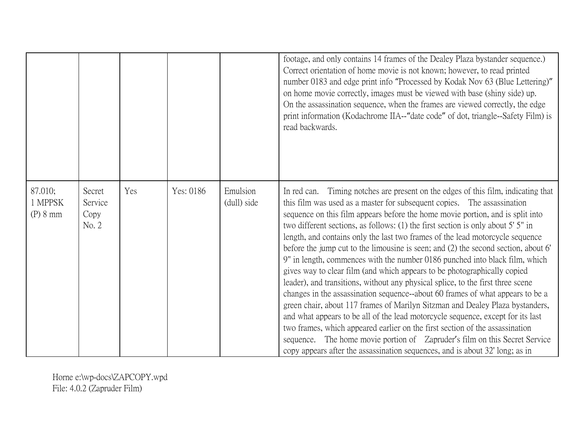|                                |                                    |     |           |                         | footage, and only contains 14 frames of the Dealey Plaza bystander sequence.)<br>Correct orientation of home movie is not known; however, to read printed<br>number 0183 and edge print info "Processed by Kodak Nov 63 (Blue Lettering)"<br>on home movie correctly, images must be viewed with base (shiny side) up.<br>On the assassination sequence, when the frames are viewed correctly, the edge<br>print information (Kodachrome IIA--"date code" of dot, triangle--Safety Film) is<br>read backwards.                                                                                                                                                                                                                                                                                                                                                                                                                                                                                                                                                                                                                                                                                                                                                    |
|--------------------------------|------------------------------------|-----|-----------|-------------------------|-------------------------------------------------------------------------------------------------------------------------------------------------------------------------------------------------------------------------------------------------------------------------------------------------------------------------------------------------------------------------------------------------------------------------------------------------------------------------------------------------------------------------------------------------------------------------------------------------------------------------------------------------------------------------------------------------------------------------------------------------------------------------------------------------------------------------------------------------------------------------------------------------------------------------------------------------------------------------------------------------------------------------------------------------------------------------------------------------------------------------------------------------------------------------------------------------------------------------------------------------------------------|
| 87.010;<br>1 MPPSK<br>(P) 8 mm | Secret<br>Service<br>Copy<br>No. 2 | Yes | Yes: 0186 | Emulsion<br>(dull) side | Timing notches are present on the edges of this film, indicating that<br>In red can.<br>this film was used as a master for subsequent copies. The assassination<br>sequence on this film appears before the home movie portion, and is split into<br>two different sections, as follows: (1) the first section is only about 5' 5" in<br>length, and contains only the last two frames of the lead motorcycle sequence<br>before the jump cut to the limousine is seen; and (2) the second section, about 6'<br>9" in length, commences with the number 0186 punched into black film, which<br>gives way to clear film (and which appears to be photographically copied<br>leader), and transitions, without any physical splice, to the first three scene<br>changes in the assassination sequence--about 60 frames of what appears to be a<br>green chair, about 117 frames of Marilyn Sitzman and Dealey Plaza bystanders,<br>and what appears to be all of the lead motorcycle sequence, except for its last<br>two frames, which appeared earlier on the first section of the assassination<br>The home movie portion of Zapruder's film on this Secret Service<br>sequence.<br>copy appears after the assassination sequences, and is about 32' long; as in |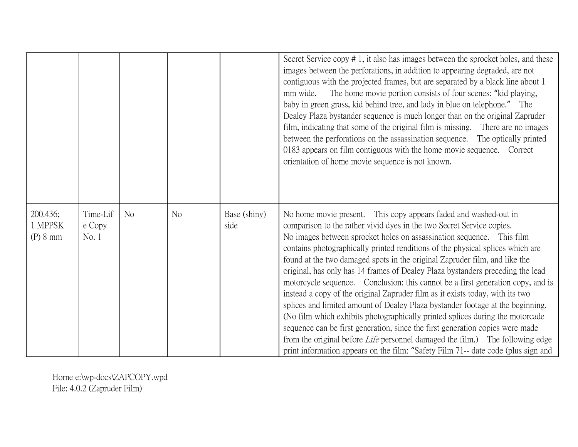|                                 |                             |                |    |                      | Secret Service copy # 1, it also has images between the sprocket holes, and these<br>images between the perforations, in addition to appearing degraded, are not<br>contiguous with the projected frames, but are separated by a black line about 1<br>The home movie portion consists of four scenes: "kid playing,<br>mm wide.<br>baby in green grass, kid behind tree, and lady in blue on telephone." The<br>Dealey Plaza bystander sequence is much longer than on the original Zapruder<br>film, indicating that some of the original film is missing. There are no images<br>between the perforations on the assassination sequence. The optically printed<br>0183 appears on film contiguous with the home movie sequence. Correct<br>orientation of home movie sequence is not known.                                                                                                                                                                                                                                                                            |
|---------------------------------|-----------------------------|----------------|----|----------------------|---------------------------------------------------------------------------------------------------------------------------------------------------------------------------------------------------------------------------------------------------------------------------------------------------------------------------------------------------------------------------------------------------------------------------------------------------------------------------------------------------------------------------------------------------------------------------------------------------------------------------------------------------------------------------------------------------------------------------------------------------------------------------------------------------------------------------------------------------------------------------------------------------------------------------------------------------------------------------------------------------------------------------------------------------------------------------|
| 200.436;<br>1 MPPSK<br>(P) 8 mm | Time-Lif<br>e Copy<br>No. 1 | N <sub>o</sub> | No | Base (shiny)<br>side | No home movie present. This copy appears faded and washed-out in<br>comparison to the rather vivid dyes in the two Secret Service copies.<br>No images between sprocket holes on assassination sequence. This film<br>contains photographically printed renditions of the physical splices which are<br>found at the two damaged spots in the original Zapruder film, and like the<br>original, has only has 14 frames of Dealey Plaza bystanders preceding the lead<br>motorcycle sequence. Conclusion: this cannot be a first generation copy, and is<br>instead a copy of the original Zapruder film as it exists today, with its two<br>splices and limited amount of Dealey Plaza bystander footage at the beginning.<br>(No film which exhibits photographically printed splices during the motorcade<br>sequence can be first generation, since the first generation copies were made<br>from the original before <i>Life</i> personnel damaged the film.) The following edge<br>print information appears on the film: "Safety Film 71-- date code (plus sign and |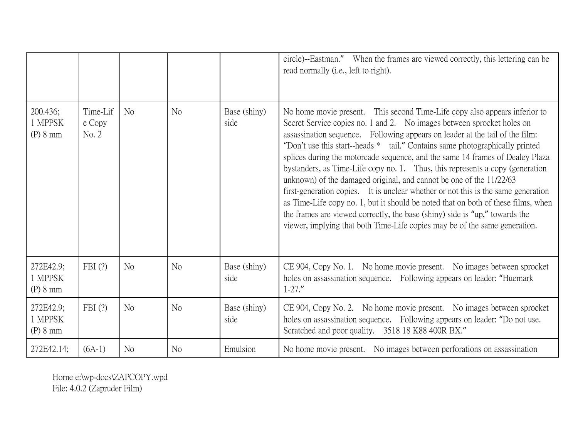|                                  |                             |                |                |                      | circle)--Eastman." When the frames are viewed correctly, this lettering can be<br>read normally (i.e., left to right).                                                                                                                                                                                                                                                                                                                                                                                                                                                                                                                                                                                                                                                                                                                                                                              |
|----------------------------------|-----------------------------|----------------|----------------|----------------------|-----------------------------------------------------------------------------------------------------------------------------------------------------------------------------------------------------------------------------------------------------------------------------------------------------------------------------------------------------------------------------------------------------------------------------------------------------------------------------------------------------------------------------------------------------------------------------------------------------------------------------------------------------------------------------------------------------------------------------------------------------------------------------------------------------------------------------------------------------------------------------------------------------|
| 200.436;<br>1 MPPSK<br>(P) 8 mm  | Time-Lif<br>e Copy<br>No. 2 | N <sub>o</sub> | No             | Base (shiny)<br>side | No home movie present. This second Time-Life copy also appears inferior to<br>Secret Service copies no. 1 and 2. No images between sprocket holes on<br>assassination sequence. Following appears on leader at the tail of the film:<br>"Don't use this start-heads * tail." Contains same photographically printed<br>splices during the motorcade sequence, and the same 14 frames of Dealey Plaza<br>bystanders, as Time-Life copy no. 1. Thus, this represents a copy (generation<br>unknown) of the damaged original, and cannot be one of the 11/22/63<br>first-generation copies. It is unclear whether or not this is the same generation<br>as Time-Life copy no. 1, but it should be noted that on both of these films, when<br>the frames are viewed correctly, the base (shiny) side is "up," towards the<br>viewer, implying that both Time-Life copies may be of the same generation. |
| 272E42.9;<br>1 MPPSK<br>(P) 8 mm | FBI(?)                      | N <sub>o</sub> | N <sub>o</sub> | Base (shiny)<br>side | CE 904, Copy No. 1. No home movie present. No images between sprocket<br>holes on assassination sequence. Following appears on leader: "Huemark"<br>$1 - 27.$ "                                                                                                                                                                                                                                                                                                                                                                                                                                                                                                                                                                                                                                                                                                                                     |
| 272E42.9;<br>1 MPPSK<br>(P) 8 mm | FBI(?)                      | No             | No             | Base (shiny)<br>side | CE 904, Copy No. 2. No home movie present. No images between sprocket<br>holes on assassination sequence. Following appears on leader: "Do not use.<br>Scratched and poor quality. 3518 18 K88 400R BX."                                                                                                                                                                                                                                                                                                                                                                                                                                                                                                                                                                                                                                                                                            |
| 272E42.14;                       | $(6A-1)$                    | N <sub>o</sub> | N <sub>o</sub> | Emulsion             | No home movie present. No images between perforations on assassination                                                                                                                                                                                                                                                                                                                                                                                                                                                                                                                                                                                                                                                                                                                                                                                                                              |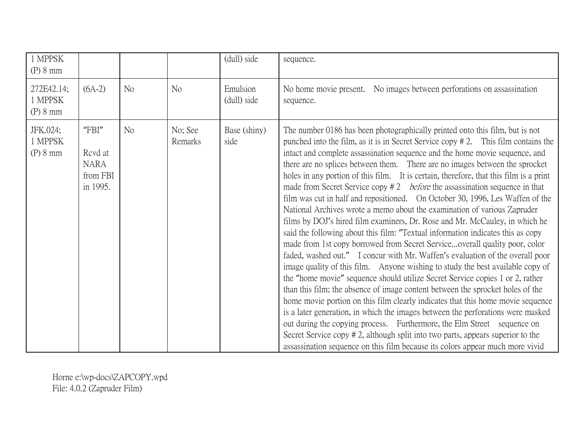| 1 MPPSK<br>(P) 8 mm               |                                                         |                |                    | (dull) side             | sequence.                                                                                                                                                                                                                                                                                                                                                                                                                                                                                                                                                                                                                                                                                                                                                                                                                                                                                                                                                                                                                                                                                                                                                                                                                                                                                                                                                                                                                                                                                                                                                                                                                                                                                    |
|-----------------------------------|---------------------------------------------------------|----------------|--------------------|-------------------------|----------------------------------------------------------------------------------------------------------------------------------------------------------------------------------------------------------------------------------------------------------------------------------------------------------------------------------------------------------------------------------------------------------------------------------------------------------------------------------------------------------------------------------------------------------------------------------------------------------------------------------------------------------------------------------------------------------------------------------------------------------------------------------------------------------------------------------------------------------------------------------------------------------------------------------------------------------------------------------------------------------------------------------------------------------------------------------------------------------------------------------------------------------------------------------------------------------------------------------------------------------------------------------------------------------------------------------------------------------------------------------------------------------------------------------------------------------------------------------------------------------------------------------------------------------------------------------------------------------------------------------------------------------------------------------------------|
| 272E42.14;<br>1 MPPSK<br>(P) 8 mm | $(6A-2)$                                                | N <sub>o</sub> | N <sub>o</sub>     | Emulsion<br>(dull) side | No home movie present. No images between perforations on assassination<br>sequence.                                                                                                                                                                                                                                                                                                                                                                                                                                                                                                                                                                                                                                                                                                                                                                                                                                                                                                                                                                                                                                                                                                                                                                                                                                                                                                                                                                                                                                                                                                                                                                                                          |
| JFK.024;<br>1 MPPSK<br>(P) 8 mm   | "FBI"<br>Rcvd at<br><b>NARA</b><br>from FBI<br>in 1995. | N <sub>o</sub> | No; See<br>Remarks | Base (shiny)<br>side    | The number 0186 has been photographically printed onto this film, but is not<br>punched into the film, as it is in Secret Service copy $# 2$ . This film contains the<br>intact and complete assassination sequence and the home movie sequence, and<br>there are no splices between them. There are no images between the sprocket<br>holes in any portion of this film. It is certain, therefore, that this film is a print<br>made from Secret Service copy $# 2$ <i>before</i> the assassination sequence in that<br>film was cut in half and repositioned. On October 30, 1996, Les Waffen of the<br>National Archives wrote a memo about the examination of various Zapruder<br>films by DOJ's hired film examiners, Dr. Rose and Mr. McCauley, in which he<br>said the following about this film: "Textual information indicates this as copy<br>made from 1st copy borrowed from Secret Serviceoverall quality poor, color<br>faded, washed out." I concur with Mr. Waffen's evaluation of the overall poor<br>image quality of this film. Anyone wishing to study the best available copy of<br>the "home movie" sequence should utilize Secret Service copies 1 or 2, rather<br>than this film; the absence of image content between the sprocket holes of the<br>home movie portion on this film clearly indicates that this home movie sequence<br>is a later generation, in which the images between the perforations were masked<br>out during the copying process. Furthermore, the Elm Street sequence on<br>Secret Service copy #2, although split into two parts, appears superior to the<br>assassination sequence on this film because its colors appear much more vivid |